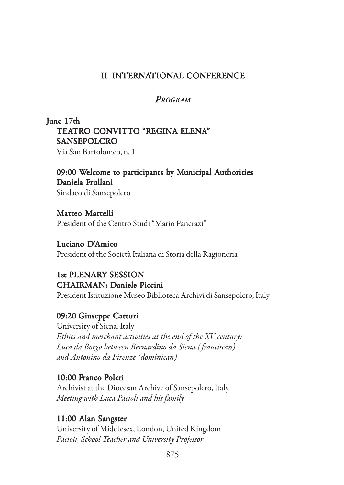#### II INTERNATIONAL CONFERENCE

#### *PROGRAM*

## June 17th TEATRO CONVITTO "REGINA ELENA" SANSEPOLCRO

Via San Bartolomeo, n. 1

### 09:00 Welcome to participants by Municipal Authorities Daniela Frullani

Sindaco di Sansepolcro

Matteo Martelli President of the Centro Studi "Mario Pancrazi"

#### Luciano D'Amico President of the Società Italiana di Storia della Ragioneria

### 1st PLENARY SESSION CHAIRMAN: Daniele Piccini

President Istituzione Museo Biblioteca Archivi di Sansepolcro, Italy

### 09:20 Giuseppe Catturi

University of Siena, Italy *Ethics and merchant activities at the end of the XV century: Luca da Borgo between Bernardino da Siena ( franciscan) and Antonino da Firenze (dominican)*

#### 10:00 Franco Polcri

Archivist at the Diocesan Archive of Sansepolcro, Italy *Meeting with Luca Pacioli and his family*

### 11:00 Alan Sangster 11:00 Alan Sangster

University of Middlesex, London, United Kingdom *Pacioli, School Teacher and University Professor*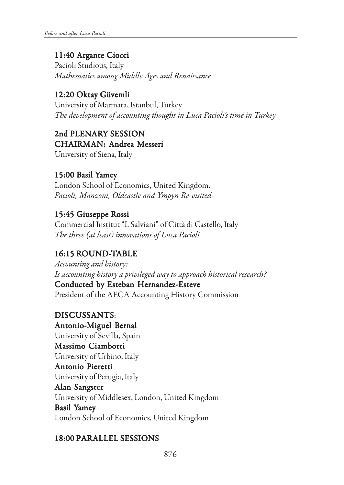## 11:40 Argante Ciocci 11:40 Argante Ciocci

Pacioli Studious, Italy *Mathematics among Middle Ages and Renaissance*

### 12:20 Oktay Güvemli 12:20 Oktay Güvemli

University of Marmara, Istanbul, Turkey *The development of accounting thought in Luca Pacioli's time in Turkey*

2nd PLENARY SESSION CHAIRMAN: Andrea Messeri University of Siena, Italy

# 15:00 Basil Yamey

London School of Economics, United Kingdom. *Pacioli, Manzoni, Oldcastle and Ympyn Re-visited*

### 15:45 Giuseppe Rossi 15:45 Giuseppe Rossi

Commercial Institut "I. Salviani" of Città di Castello, Italy *The three (at least) innovations of Luca Pacioli*

## 16:15 ROUND-TABLE

*Accounting and history: Is accounting history a privileged way to approach historical research?* Conducted by Esteban Hernandez-Esteve President of the AECA Accounting History Commission

### DISCUSSANTS:

Antonio-Miguel Bernal University of Sevilla, Spain Massimo Ciambotti University of Urbino, Italy Antonio Pieretti University of Perugia, Italy Alan Sangster University of Middlesex, London, United Kingdom Basil Yamey London School of Economics, United Kingdom

### 18:00 PARALLEL SESSIONS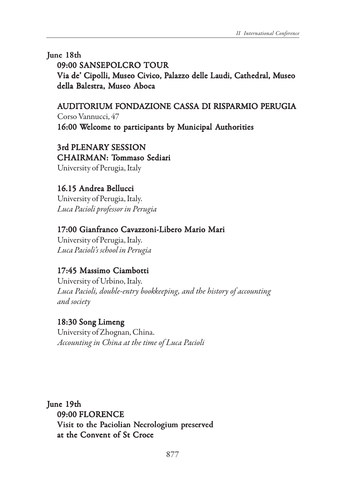June 18th

09:00 SANSEPOLCRO TOUR Via de' Cipolli, Museo Civico, Palazzo delle Laudi, Cathedral, Museo della Balestra, Museo Aboca

AUDITORIUM FONDAZIONE CASSA DI RISPARMIO PERUGIA Corso Vannucci, 47 16:00 Welcome to participants by Municipal Authorities

3rd PLENARY SESSION CHAIRMAN: Tommaso Sediari University of Perugia, Italy

### 16.15 Andrea Bellucci

University of Perugia, Italy. *Luca Pacioli professor in Perugia*

17:00 Gianfranco Cavazzoni-Libero Mario Mari University of Perugia, Italy.

*Luca Pacioli's school in Perugia*

### 17:45 Massimo Ciambotti

University of Urbino, Italy. *Luca Pacioli, double-entry bookkeeping, and the history of accounting and society*

#### 18:30 Song Limeng

University of Zhognan, China. *Accounting in China at the time of Luca Pacioli*

June 19th 09:00 FLORENCE Visit to the Paciolian Necrologium preserved at the Convent of St Croce